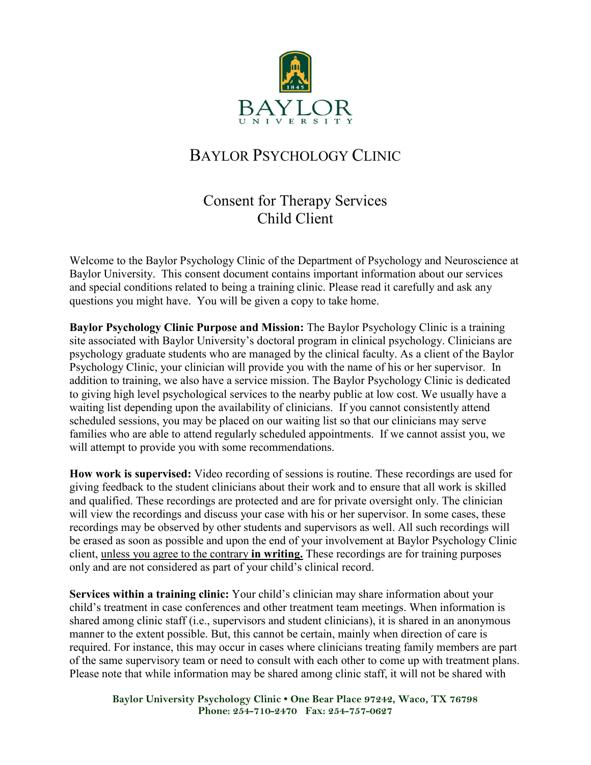

# BAYLOR PSYCHOLOGY CLINIC

## Consent for Therapy Services Child Client

Welcome to the Baylor Psychology Clinic of the Department of Psychology and Neuroscience at Baylor University. This consent document contains important information about our services and special conditions related to being a training clinic. Please read it carefully and ask any questions you might have. You will be given a copy to take home.

**Baylor Psychology Clinic Purpose and Mission:** The Baylor Psychology Clinic is a training site associated with Baylor University's doctoral program in clinical psychology. Clinicians are psychology graduate students who are managed by the clinical faculty. As a client of the Baylor Psychology Clinic, your clinician will provide you with the name of his or her supervisor. In addition to training, we also have a service mission. The Baylor Psychology Clinic is dedicated to giving high level psychological services to the nearby public at low cost. We usually have a waiting list depending upon the availability of clinicians. If you cannot consistently attend scheduled sessions, you may be placed on our waiting list so that our clinicians may serve families who are able to attend regularly scheduled appointments. If we cannot assist you, we will attempt to provide you with some recommendations.

**How work is supervised:** Video recording of sessions is routine. These recordings are used for giving feedback to the student clinicians about their work and to ensure that all work is skilled and qualified. These recordings are protected and are for private oversight only. The clinician will view the recordings and discuss your case with his or her supervisor. In some cases, these recordings may be observed by other students and supervisors as well. All such recordings will be erased as soon as possible and upon the end of your involvement at Baylor Psychology Clinic client, unless you agree to the contrary **in writing.** These recordings are for training purposes only and are not considered as part of your child's clinical record.

**Services within a training clinic:** Your child's clinician may share information about your child's treatment in case conferences and other treatment team meetings. When information is shared among clinic staff (i.e., supervisors and student clinicians), it is shared in an anonymous manner to the extent possible. But, this cannot be certain, mainly when direction of care is required. For instance, this may occur in cases where clinicians treating family members are part of the same supervisory team or need to consult with each other to come up with treatment plans. Please note that while information may be shared among clinic staff, it will not be shared with

**Baylor University Psychology Clinic • One Bear Place 97242, Waco, TX 76798 Phone: 254-710-2470 Fax: 254-757-0627**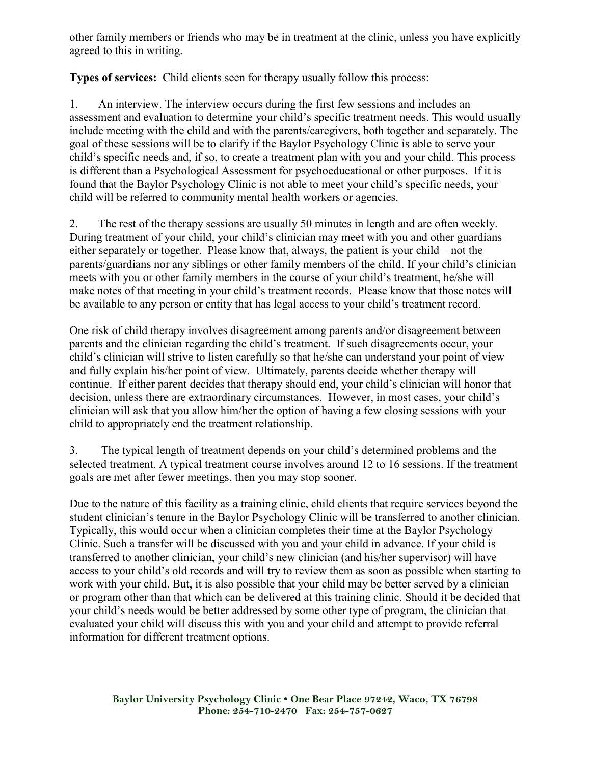other family members or friends who may be in treatment at the clinic, unless you have explicitly agreed to this in writing.

**Types of services:** Child clients seen for therapy usually follow this process:

1. An interview. The interview occurs during the first few sessions and includes an assessment and evaluation to determine your child's specific treatment needs. This would usually include meeting with the child and with the parents/caregivers, both together and separately. The goal of these sessions will be to clarify if the Baylor Psychology Clinic is able to serve your child's specific needs and, if so, to create a treatment plan with you and your child. This process is different than a Psychological Assessment for psychoeducational or other purposes. If it is found that the Baylor Psychology Clinic is not able to meet your child's specific needs, your child will be referred to community mental health workers or agencies.

2. The rest of the therapy sessions are usually 50 minutes in length and are often weekly. During treatment of your child, your child's clinician may meet with you and other guardians either separately or together. Please know that, always, the patient is your child – not the parents/guardians nor any siblings or other family members of the child. If your child's clinician meets with you or other family members in the course of your child's treatment, he/she will make notes of that meeting in your child's treatment records. Please know that those notes will be available to any person or entity that has legal access to your child's treatment record.

One risk of child therapy involves disagreement among parents and/or disagreement between parents and the clinician regarding the child's treatment. If such disagreements occur, your child's clinician will strive to listen carefully so that he/she can understand your point of view and fully explain his/her point of view. Ultimately, parents decide whether therapy will continue. If either parent decides that therapy should end, your child's clinician will honor that decision, unless there are extraordinary circumstances. However, in most cases, your child's clinician will ask that you allow him/her the option of having a few closing sessions with your child to appropriately end the treatment relationship.

3. The typical length of treatment depends on your child's determined problems and the selected treatment. A typical treatment course involves around 12 to 16 sessions. If the treatment goals are met after fewer meetings, then you may stop sooner.

Due to the nature of this facility as a training clinic, child clients that require services beyond the student clinician's tenure in the Baylor Psychology Clinic will be transferred to another clinician. Typically, this would occur when a clinician completes their time at the Baylor Psychology Clinic. Such a transfer will be discussed with you and your child in advance. If your child is transferred to another clinician, your child's new clinician (and his/her supervisor) will have access to your child's old records and will try to review them as soon as possible when starting to work with your child. But, it is also possible that your child may be better served by a clinician or program other than that which can be delivered at this training clinic. Should it be decided that your child's needs would be better addressed by some other type of program, the clinician that evaluated your child will discuss this with you and your child and attempt to provide referral information for different treatment options.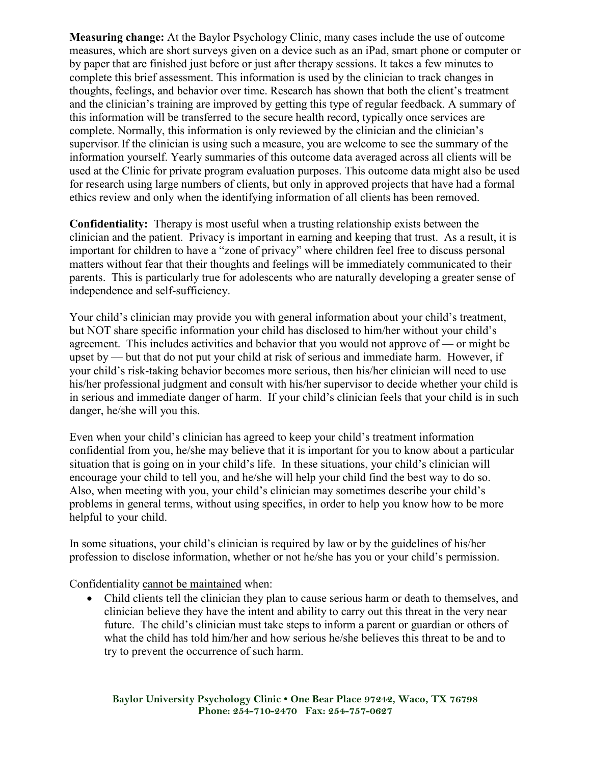**Measuring change:** At the Baylor Psychology Clinic, many cases include the use of outcome measures, which are short surveys given on a device such as an iPad, smart phone or computer or by paper that are finished just before or just after therapy sessions. It takes a few minutes to complete this brief assessment. This information is used by the clinician to track changes in thoughts, feelings, and behavior over time. Research has shown that both the client's treatment and the clinician's training are improved by getting this type of regular feedback. A summary of this information will be transferred to the secure health record, typically once services are complete. Normally, this information is only reviewed by the clinician and the clinician's supervisor. If the clinician is using such a measure, you are welcome to see the summary of the information yourself. Yearly summaries of this outcome data averaged across all clients will be used at the Clinic for private program evaluation purposes. This outcome data might also be used for research using large numbers of clients, but only in approved projects that have had a formal ethics review and only when the identifying information of all clients has been removed.

**Confidentiality:** Therapy is most useful when a trusting relationship exists between the clinician and the patient. Privacy is important in earning and keeping that trust. As a result, it is important for children to have a "zone of privacy" where children feel free to discuss personal matters without fear that their thoughts and feelings will be immediately communicated to their parents. This is particularly true for adolescents who are naturally developing a greater sense of independence and self-sufficiency.

Your child's clinician may provide you with general information about your child's treatment, but NOT share specific information your child has disclosed to him/her without your child's agreement. This includes activities and behavior that you would not approve of — or might be upset by — but that do not put your child at risk of serious and immediate harm. However, if your child's risk-taking behavior becomes more serious, then his/her clinician will need to use his/her professional judgment and consult with his/her supervisor to decide whether your child is in serious and immediate danger of harm. If your child's clinician feels that your child is in such danger, he/she will you this.

Even when your child's clinician has agreed to keep your child's treatment information confidential from you, he/she may believe that it is important for you to know about a particular situation that is going on in your child's life. In these situations, your child's clinician will encourage your child to tell you, and he/she will help your child find the best way to do so. Also, when meeting with you, your child's clinician may sometimes describe your child's problems in general terms, without using specifics, in order to help you know how to be more helpful to your child.

In some situations, your child's clinician is required by law or by the guidelines of his/her profession to disclose information, whether or not he/she has you or your child's permission.

Confidentiality cannot be maintained when:

• Child clients tell the clinician they plan to cause serious harm or death to themselves, and clinician believe they have the intent and ability to carry out this threat in the very near future. The child's clinician must take steps to inform a parent or guardian or others of what the child has told him/her and how serious he/she believes this threat to be and to try to prevent the occurrence of such harm.

**Baylor University Psychology Clinic • One Bear Place 97242, Waco, TX 76798 Phone: 254-710-2470 Fax: 254-757-0627**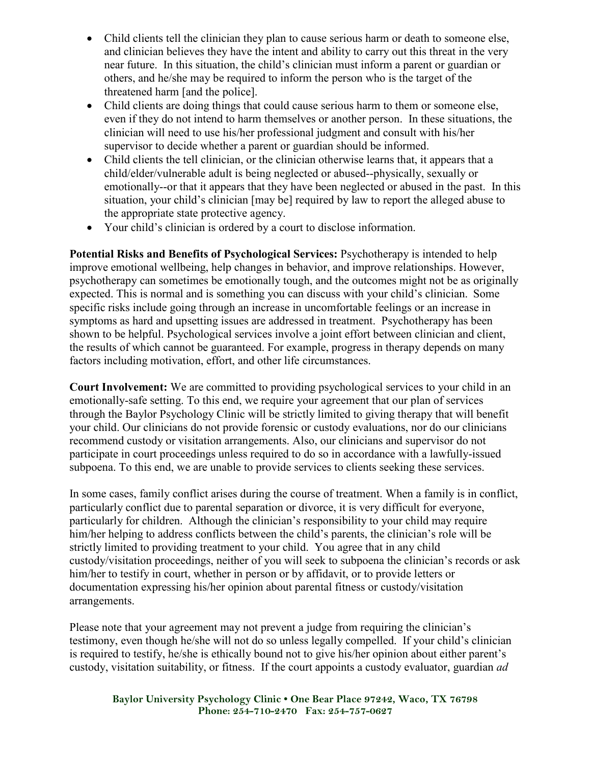- Child clients tell the clinician they plan to cause serious harm or death to someone else, and clinician believes they have the intent and ability to carry out this threat in the very near future. In this situation, the child's clinician must inform a parent or guardian or others, and he/she may be required to inform the person who is the target of the threatened harm [and the police].
- Child clients are doing things that could cause serious harm to them or someone else, even if they do not intend to harm themselves or another person. In these situations, the clinician will need to use his/her professional judgment and consult with his/her supervisor to decide whether a parent or guardian should be informed.
- Child clients the tell clinician, or the clinician otherwise learns that, it appears that a child/elder/vulnerable adult is being neglected or abused--physically, sexually or emotionally--or that it appears that they have been neglected or abused in the past. In this situation, your child's clinician [may be] required by law to report the alleged abuse to the appropriate state protective agency.
- Your child's clinician is ordered by a court to disclose information.

**Potential Risks and Benefits of Psychological Services:** Psychotherapy is intended to help improve emotional wellbeing, help changes in behavior, and improve relationships. However, psychotherapy can sometimes be emotionally tough, and the outcomes might not be as originally expected. This is normal and is something you can discuss with your child's clinician. Some specific risks include going through an increase in uncomfortable feelings or an increase in symptoms as hard and upsetting issues are addressed in treatment. Psychotherapy has been shown to be helpful. Psychological services involve a joint effort between clinician and client, the results of which cannot be guaranteed. For example, progress in therapy depends on many factors including motivation, effort, and other life circumstances.

**Court Involvement:** We are committed to providing psychological services to your child in an emotionally-safe setting. To this end, we require your agreement that our plan of services through the Baylor Psychology Clinic will be strictly limited to giving therapy that will benefit your child. Our clinicians do not provide forensic or custody evaluations, nor do our clinicians recommend custody or visitation arrangements. Also, our clinicians and supervisor do not participate in court proceedings unless required to do so in accordance with a lawfully-issued subpoena. To this end, we are unable to provide services to clients seeking these services.

In some cases, family conflict arises during the course of treatment. When a family is in conflict, particularly conflict due to parental separation or divorce, it is very difficult for everyone, particularly for children. Although the clinician's responsibility to your child may require him/her helping to address conflicts between the child's parents, the clinician's role will be strictly limited to providing treatment to your child. You agree that in any child custody/visitation proceedings, neither of you will seek to subpoena the clinician's records or ask him/her to testify in court, whether in person or by affidavit, or to provide letters or documentation expressing his/her opinion about parental fitness or custody/visitation arrangements.

Please note that your agreement may not prevent a judge from requiring the clinician's testimony, even though he/she will not do so unless legally compelled. If your child's clinician is required to testify, he/she is ethically bound not to give his/her opinion about either parent's custody, visitation suitability, or fitness. If the court appoints a custody evaluator, guardian *ad* 

**Baylor University Psychology Clinic • One Bear Place 97242, Waco, TX 76798 Phone: 254-710-2470 Fax: 254-757-0627**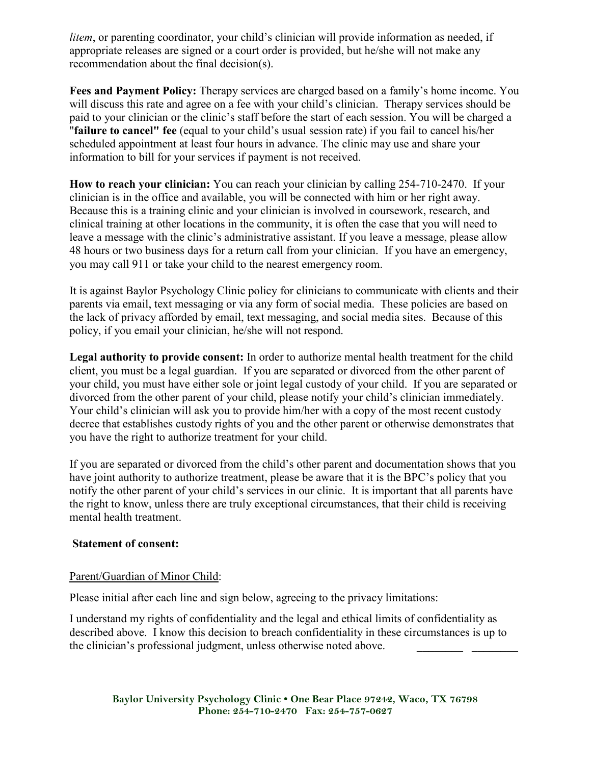*litem*, or parenting coordinator, your child's clinician will provide information as needed, if appropriate releases are signed or a court order is provided, but he/she will not make any recommendation about the final decision(s).

**Fees and Payment Policy:** Therapy services are charged based on a family's home income. You will discuss this rate and agree on a fee with your child's clinician. Therapy services should be paid to your clinician or the clinic's staff before the start of each session. You will be charged a "**failure to cancel" fee** (equal to your child's usual session rate) if you fail to cancel his/her scheduled appointment at least four hours in advance. The clinic may use and share your information to bill for your services if payment is not received.

**How to reach your clinician:** You can reach your clinician by calling 254-710-2470. If your clinician is in the office and available, you will be connected with him or her right away. Because this is a training clinic and your clinician is involved in coursework, research, and clinical training at other locations in the community, it is often the case that you will need to leave a message with the clinic's administrative assistant. If you leave a message, please allow 48 hours or two business days for a return call from your clinician. If you have an emergency, you may call 911 or take your child to the nearest emergency room.

It is against Baylor Psychology Clinic policy for clinicians to communicate with clients and their parents via email, text messaging or via any form of social media. These policies are based on the lack of privacy afforded by email, text messaging, and social media sites. Because of this policy, if you email your clinician, he/she will not respond.

**Legal authority to provide consent:** In order to authorize mental health treatment for the child client, you must be a legal guardian. If you are separated or divorced from the other parent of your child, you must have either sole or joint legal custody of your child. If you are separated or divorced from the other parent of your child, please notify your child's clinician immediately. Your child's clinician will ask you to provide him/her with a copy of the most recent custody decree that establishes custody rights of you and the other parent or otherwise demonstrates that you have the right to authorize treatment for your child.

If you are separated or divorced from the child's other parent and documentation shows that you have joint authority to authorize treatment, please be aware that it is the BPC's policy that you notify the other parent of your child's services in our clinic. It is important that all parents have the right to know, unless there are truly exceptional circumstances, that their child is receiving mental health treatment.

### **Statement of consent:**

### Parent/Guardian of Minor Child:

Please initial after each line and sign below, agreeing to the privacy limitations:

I understand my rights of confidentiality and the legal and ethical limits of confidentiality as described above. I know this decision to breach confidentiality in these circumstances is up to the clinician's professional judgment, unless otherwise noted above.